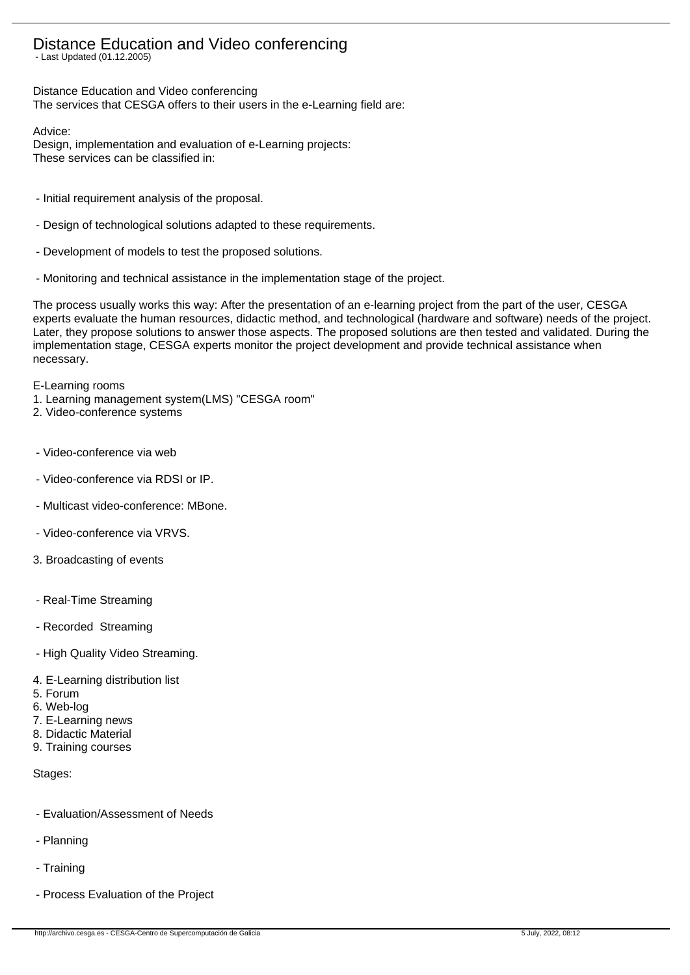# Distance Education and Video conferencing

- Last Updated (01.12.2005)

Distance Education and Video conferencing The services that CESGA offers to their users in the e-Learning field are:

Advice:

Design, implementation and evaluation of e-Learning projects: These services can be classified in:

- Initial requirement analysis of the proposal.
- Design of technological solutions adapted to these requirements.
- Development of models to test the proposed solutions.
- Monitoring and technical assistance in the implementation stage of the project.

The process usually works this way: After the presentation of an e-learning project from the part of the user, CESGA experts evaluate the human resources, didactic method, and technological (hardware and software) needs of the project. Later, they propose solutions to answer those aspects. The proposed solutions are then tested and validated. During the implementation stage, CESGA experts monitor the project development and provide technical assistance when necessary.

E-Learning rooms

- 1. Learning management system(LMS) "CESGA room"
- 2. Video-conference systems
- Video-conference via web
- Video-conference via RDSI or IP.
- Multicast video-conference: MBone.
- Video-conference via VRVS.
- 3. Broadcasting of events
- Real-Time Streaming
- Recorded Streaming
- High Quality Video Streaming.
- 4. E-Learning distribution list
- 5. Forum
- 6. Web-log
- 7. E-Learning news
- 8. Didactic Material
- 9. Training courses

Stages:

- Evaluation/Assessment of Needs
- Planning
- Training
- Process Evaluation of the Project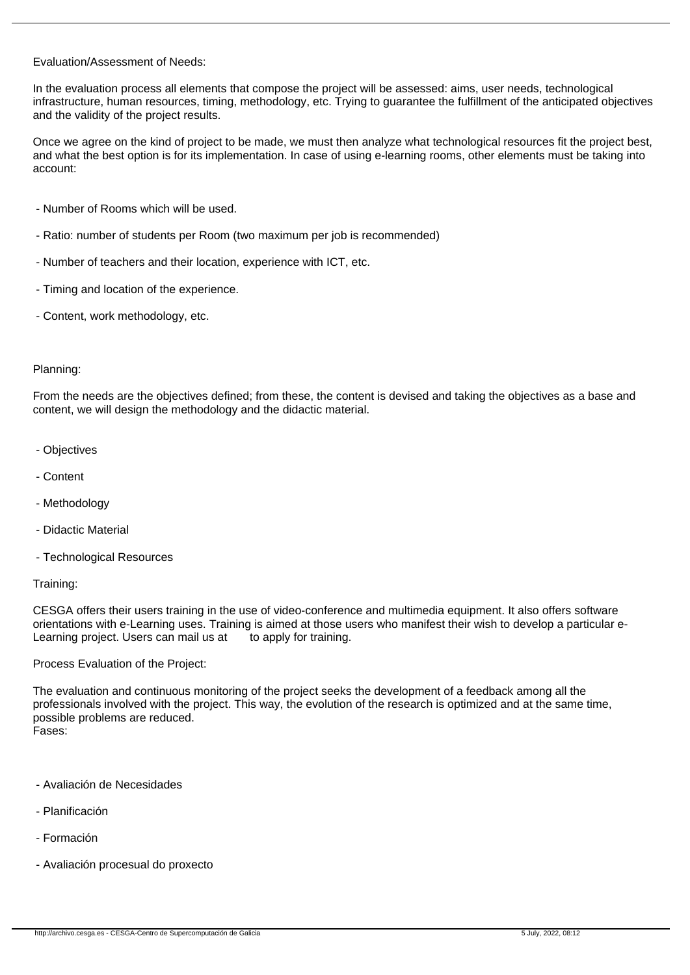### Evaluation/Assessment of Needs:

In the evaluation process all elements that compose the project will be assessed: aims, user needs, technological infrastructure, human resources, timing, methodology, etc. Trying to guarantee the fulfillment of the anticipated objectives and the validity of the project results.

Once we agree on the kind of project to be made, we must then analyze what technological resources fit the project best, and what the best option is for its implementation. In case of using e-learning rooms, other elements must be taking into account:

- Number of Rooms which will be used.
- Ratio: number of students per Room (two maximum per job is recommended)
- Number of teachers and their location, experience with ICT, etc.
- Timing and location of the experience.
- Content, work methodology, etc.

## Planning:

From the needs are the objectives defined; from these, the content is devised and taking the objectives as a base and content, we will design the methodology and the didactic material.

- Objectives
- Content
- Methodology
- Didactic Material
- Technological Resources

#### Training:

CESGA offers their users training in the use of video-conference and multimedia equipment. It also offers software orientations with e-Learning uses. Training is aimed at those users who manifest their wish to develop a particular e-Learning project. Users can mail us at to apply for training.

Process Evaluation of the Project:

The evaluation and continuous monitoring of the project seeks the development of a feedback among all the professionals involved with the project. This way, the evolution of the research is optimized and at the same time, possible problems are reduced. Fases:

- Avaliación de Necesidades
- Planificación
- Formación
- Avaliación procesual do proxecto